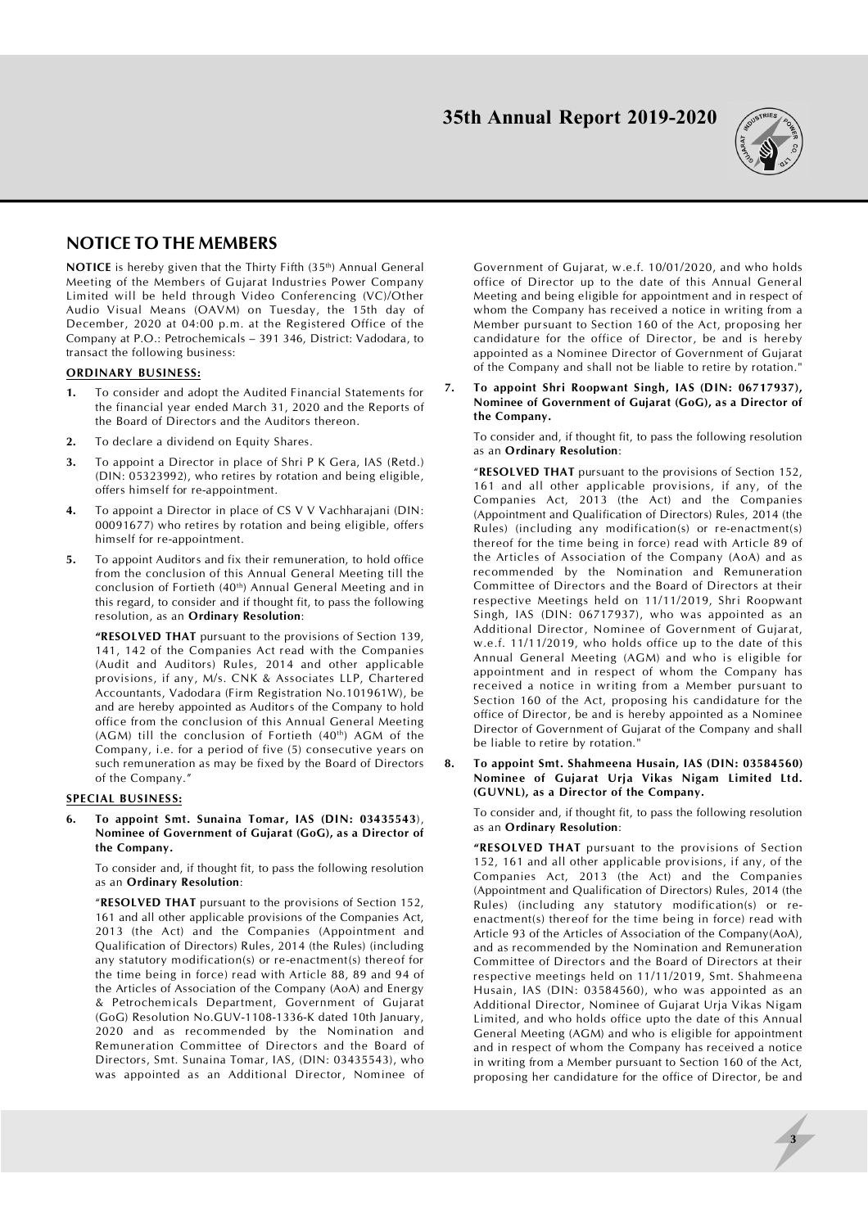

# **NOTICE TO THE MEMBERS**

**NOTICE** is hereby given that the Thirty Fifth (35<sup>th</sup>) Annual General Meeting of the Members of Gujarat Industries Power Company Limited will be held through Video Conferencing (VC)/Other Audio Visual Means (OAVM) on Tuesday, the 15th day of December, 2020 at 04:00 p.m. at the Registered Office of the Company at P.O.: Petrochemicals – 391 346, District: Vadodara, to transact the following business:

### **ORDINARY BUSINESS:**

- **1.** To consider and adopt the Audited Financial Statements for the financial year ended March 31, 2020 and the Reports of the Board of Directors and the Auditors thereon.
- **2.** To declare a dividend on Equity Shares.
- **3.** To appoint a Director in place of Shri P K Gera, IAS (Retd.) (DIN: 05323992), who retires by rotation and being eligible, offers himself for re-appointment.
- **4.** To appoint a Director in place of CS V V Vachharajani (DIN: 00091677) who retires by rotation and being eligible, offers himself for re-appointment.
- **5.** To appoint Auditors and fix their remuneration, to hold office from the conclusion of this Annual General Meeting till the conclusion of Fortieth (40<sup>th</sup>) Annual General Meeting and in this regard, to consider and if thought fit, to pass the following resolution, as an **Ordinary Resolution**:

**"RESOLVED THAT** pursuant to the provisions of Section 139, 141, 142 of the Companies Act read with the Companies (Audit and Auditors) Rules, 2014 and other applicable provisions, if any, M/s. CNK & Associates LLP, Chartered Accountants, Vadodara (Firm Registration No.101961W), be and are hereby appointed as Auditors of the Company to hold office from the conclusion of this Annual General Meeting (AGM) till the conclusion of Fortieth (40<sup>th</sup>) AGM of the Company, i.e. for a period of five (5) consecutive years on such remuneration as may be fixed by the Board of Directors of the Company."

### **SPECIAL BUSINESS:**

**6. To appoint Smt. Sunaina Tomar, IAS (DIN: 03435543**), **Nominee of Government of Gujarat (GoG), as a Director of the Company.**

To consider and, if thought fit, to pass the following resolution as an **Ordinary Resolution**:

"**RESOLVED THAT** pursuant to the provisions of Section 152, 161 and all other applicable provisions of the Companies Act, 2013 (the Act) and the Companies (Appointment and Qualification of Directors) Rules, 2014 (the Rules) (including any statutory modification(s) or re-enactment(s) thereof for the time being in force) read with Article 88, 89 and 94 of the Articles of Association of the Company (AoA) and Energy & Petrochemicals Department, Government of Gujarat (GoG) Resolution No.GUV-1108-1336-K dated 10th January, 2020 and as recommended by the Nomination and Remuneration Committee of Directors and the Board of Directors, Smt. Sunaina Tomar, IAS, (DIN: 03435543), who was appointed as an Additional Director, Nominee of

Government of Gujarat, w.e.f. 10/01/2020, and who holds office of Director up to the date of this Annual General Meeting and being eligible for appointment and in respect of whom the Company has received a notice in writing from a Member pursuant to Section 160 of the Act, proposing her candidature for the office of Director, be and is hereby appointed as a Nominee Director of Government of Gujarat of the Company and shall not be liable to retire by rotation."

**7. To appoint Shri Roopwant Singh, IAS (DIN: 06717937), Nominee of Government of Gujarat (GoG), as a Director of the Company.**

To consider and, if thought fit, to pass the following resolution as an **Ordinary Resolution**:

"**RESOLVED THAT** pursuant to the provisions of Section 152, 161 and all other applicable provisions, if any, of the Companies Act, 2013 (the Act) and the Companies (Appointment and Qualification of Directors) Rules, 2014 (the Rules) (including any modification(s) or re-enactment(s) thereof for the time being in force) read with Article 89 of the Articles of Association of the Company (AoA) and as recommended by the Nomination and Remuneration Committee of Directors and the Board of Directors at their respective Meetings held on 11/11/2019, Shri Roopwant Singh, IAS (DIN: 06717937), who was appointed as an Additional Director, Nominee of Government of Gujarat, w.e.f. 11/11/2019, who holds office up to the date of this Annual General Meeting (AGM) and who is eligible for appointment and in respect of whom the Company has received a notice in writing from a Member pursuant to Section 160 of the Act, proposing his candidature for the office of Director, be and is hereby appointed as a Nominee Director of Government of Gujarat of the Company and shall be liable to retire by rotation."

**8. To appoint Smt. Shahmeena Husain, IAS (DIN: 03584560) Nominee of Gujarat Urja Vikas Nigam Limited Ltd. (GUVNL), as a Director of the Company.**

To consider and, if thought fit, to pass the following resolution as an **Ordinary Resolution**:

**"RESOLVED THAT** pursuant to the provisions of Section 152, 161 and all other applicable provisions, if any, of the Companies Act, 2013 (the Act) and the Companies (Appointment and Qualification of Directors) Rules, 2014 (the Rules) (including any statutory modification(s) or reenactment(s) thereof for the time being in force) read with Article 93 of the Articles of Association of the Company(AoA), and as recommended by the Nomination and Remuneration Committee of Directors and the Board of Directors at their respective meetings held on 11/11/2019, Smt. Shahmeena Husain, IAS (DIN: 03584560), who was appointed as an Additional Director, Nominee of Gujarat Urja Vikas Nigam Limited, and who holds office upto the date of this Annual General Meeting (AGM) and who is eligible for appointment and in respect of whom the Company has received a notice in writing from a Member pursuant to Section 160 of the Act, proposing her candidature for the office of Director, be and

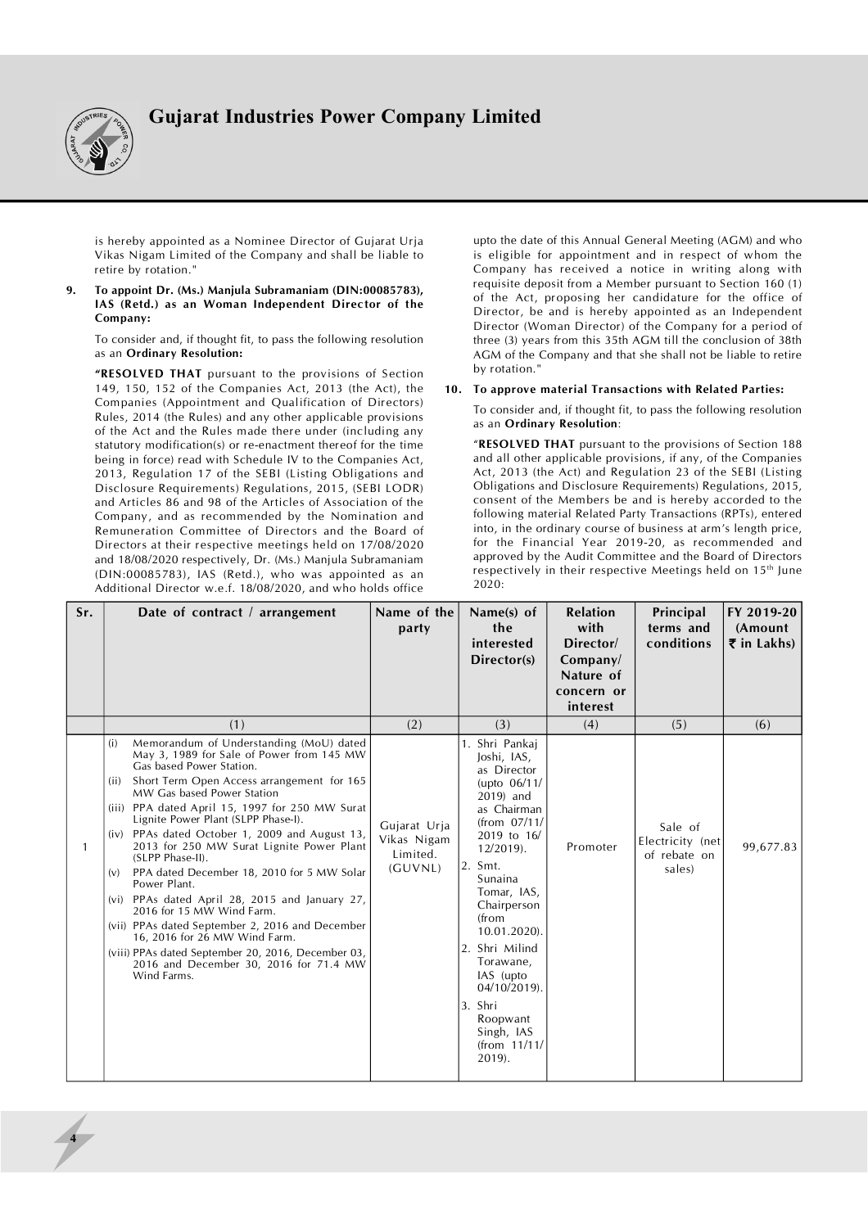

is hereby appointed as a Nominee Director of Gujarat Urja Vikas Nigam Limited of the Company and shall be liable to retire by rotation."

**9. To appoint Dr. (Ms.) Manjula Subramaniam (DIN:00085783), IAS (Retd.) as an Woman Independent Director of the Company:**

To consider and, if thought fit, to pass the following resolution as an **Ordinary Resolution:**

**"RESOLVED THAT** pursuant to the provisions of Section 149, 150, 152 of the Companies Act, 2013 (the Act), the Companies (Appointment and Qualification of Directors) Rules, 2014 (the Rules) and any other applicable provisions of the Act and the Rules made there under (including any statutory modification(s) or re-enactment thereof for the time being in force) read with Schedule IV to the Companies Act, 2013, Regulation 17 of the SEBI (Listing Obligations and Disclosure Requirements) Regulations, 2015, (SEBI LODR) and Articles 86 and 98 of the Articles of Association of the Company, and as recommended by the Nomination and Remuneration Committee of Directors and the Board of Directors at their respective meetings held on 17/08/2020 and 18/08/2020 respectively, Dr. (Ms.) Manjula Subramaniam (DIN:00085783), IAS (Retd.), who was appointed as an Additional Director w.e.f. 18/08/2020, and who holds office

upto the date of this Annual General Meeting (AGM) and who is eligible for appointment and in respect of whom the Company has received a notice in writing along with requisite deposit from a Member pursuant to Section 160 (1) of the Act, proposing her candidature for the office of Director, be and is hereby appointed as an Independent Director (Woman Director) of the Company for a period of three (3) years from this 35th AGM till the conclusion of 38th AGM of the Company and that she shall not be liable to retire by rotation."

### **10. To approve material Transactions with Related Parties:**

To consider and, if thought fit, to pass the following resolution as an **Ordinary Resolution**:

"**RESOLVED THAT** pursuant to the provisions of Section 188 and all other applicable provisions, if any, of the Companies Act, 2013 (the Act) and Regulation 23 of the SEBI (Listing Obligations and Disclosure Requirements) Regulations, 2015, consent of the Members be and is hereby accorded to the following material Related Party Transactions (RPTs), entered into, in the ordinary course of business at arm's length price, for the Financial Year 2019-20, as recommended and approved by the Audit Committee and the Board of Directors respectively in their respective Meetings held on 15<sup>th</sup> June 2020:

| Sr. | Date of contract $\ell$ arrangement                                                                                                                                                                                                                                                                                                                                                                                                                                                                                                                                                                                                                                                                                                                                                | Name of the<br>party                               | Name(s) of<br>the<br>interested<br>Director(s)                                                                                                                                                                                                                                                                                                      | <b>Relation</b><br>with<br>Director/<br>Company/<br>Nature of<br>concern or<br>interest | Principal<br>terms and<br>conditions                  | FY 2019-20<br>(Amount<br>$\overline{\xi}$ in Lakhs) |
|-----|------------------------------------------------------------------------------------------------------------------------------------------------------------------------------------------------------------------------------------------------------------------------------------------------------------------------------------------------------------------------------------------------------------------------------------------------------------------------------------------------------------------------------------------------------------------------------------------------------------------------------------------------------------------------------------------------------------------------------------------------------------------------------------|----------------------------------------------------|-----------------------------------------------------------------------------------------------------------------------------------------------------------------------------------------------------------------------------------------------------------------------------------------------------------------------------------------------------|-----------------------------------------------------------------------------------------|-------------------------------------------------------|-----------------------------------------------------|
|     | (1)                                                                                                                                                                                                                                                                                                                                                                                                                                                                                                                                                                                                                                                                                                                                                                                | (2)                                                | (3)                                                                                                                                                                                                                                                                                                                                                 | (4)                                                                                     | (5)                                                   | (6)                                                 |
|     | Memorandum of Understanding (MoU) dated<br>(i)<br>May 3, 1989 for Sale of Power from 145 MW<br>Gas based Power Station.<br>Short Term Open Access arrangement for 165<br>(ii)<br>MW Gas based Power Station<br>(iii) PPA dated April 15, 1997 for 250 MW Surat<br>Lignite Power Plant (SLPP Phase-I).<br>PPAs dated October 1, 2009 and August 13,<br>(iv)<br>2013 for 250 MW Surat Lignite Power Plant<br>(SLPP Phase-II).<br>PPA dated December 18, 2010 for 5 MW Solar<br>(v)<br>Power Plant.<br>(vi) PPAs dated April 28, 2015 and January 27,<br>2016 for 15 MW Wind Farm.<br>(vii) PPAs dated September 2, 2016 and December<br>16, 2016 for 26 MW Wind Farm.<br>(viii) PPAs dated September 20, 2016, December 03,<br>2016 and December 30, 2016 for 71.4 MW<br>Wind Farms. | Gujarat Urja<br>Vikas Nigam<br>Limited.<br>(GUVNL) | 1. Shri Pankai<br>Joshi, IAS,<br>as Director<br>(upto $06/11/$<br>2019) and<br>as Chairman<br>(from 07/11/<br>2019 to 16/<br>$12/2019$ .<br>2. Smt.<br>Sunaina<br>Tomar, IAS,<br>Chairperson<br>from<br>10.01.2020).<br>2. Shri Milind<br>Torawane,<br>IAS (upto<br>$04/10/2019$ .<br>3. Shri<br>Roopwant<br>Singh, IAS<br>(from $11/11/$<br>2019). | Promoter                                                                                | Sale of<br>Electricity (net<br>of rebate on<br>sales) | 99,677.83                                           |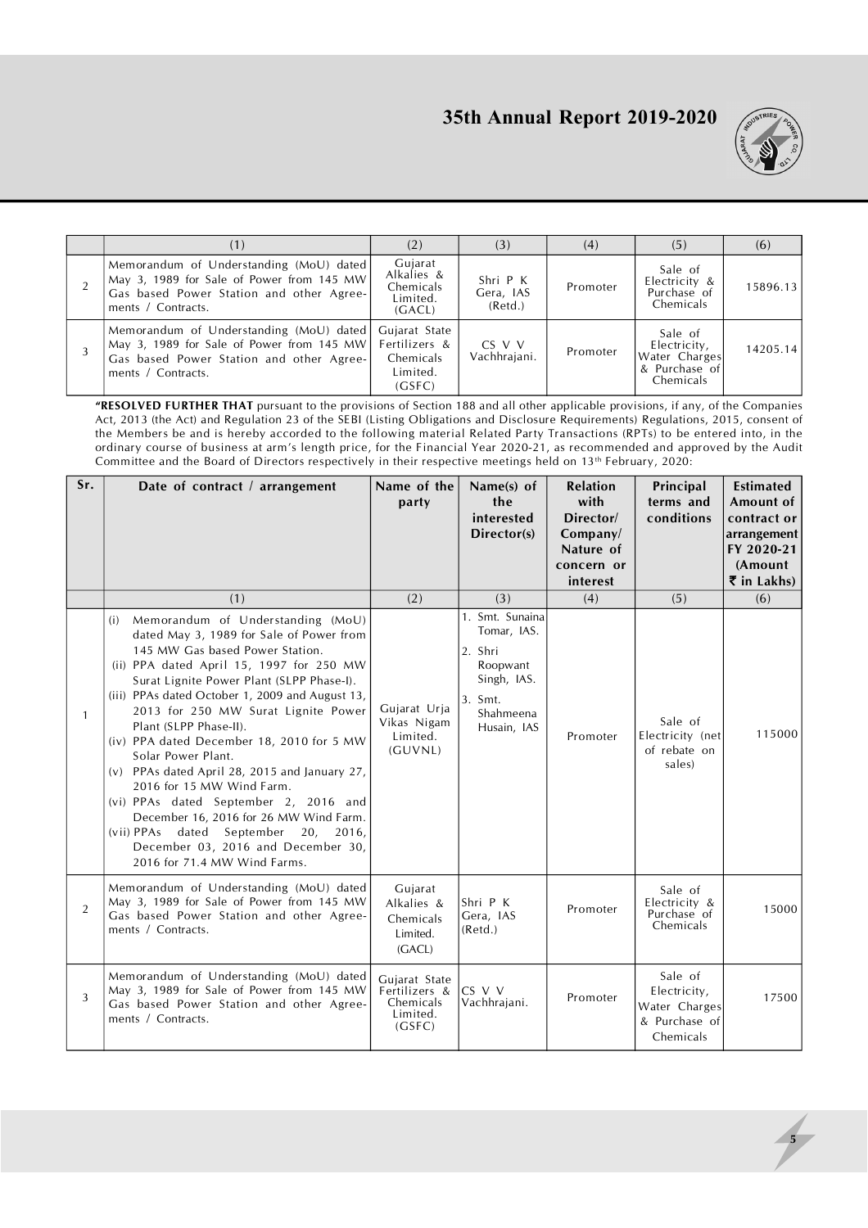

|                                                                                                                                                        | (2)                                                               | (3)                              | (4)      | (5)                                                                    | (6)      |
|--------------------------------------------------------------------------------------------------------------------------------------------------------|-------------------------------------------------------------------|----------------------------------|----------|------------------------------------------------------------------------|----------|
| Memorandum of Understanding (MoU) dated<br>May 3, 1989 for Sale of Power from 145 MW<br>Gas based Power Station and other Agree-<br>ments / Contracts. | Gujarat<br>Alkalies &<br>Chemicals<br>Limited.<br>(GACL)          | Shri P K<br>Gera, IAS<br>(Retd.) | Promoter | Sale of<br>Electricity &<br>Purchase of<br>Chemicals                   | 15896.13 |
| Memorandum of Understanding (MoU) dated<br>May 3, 1989 for Sale of Power from 145 MW<br>Gas based Power Station and other Agree-<br>ments / Contracts. | Gujarat State<br>Fertilizers &<br>Chemicals<br>Limited.<br>(GSFC) | $CS$ V V<br>Vachhrajani.         | Promoter | Sale of<br>Electricity,<br>Water Charges<br>& Purchase of<br>Chemicals | 14205.14 |

**"RESOLVED FURTHER THAT** pursuant to the provisions of Section 188 and all other applicable provisions, if any, of the Companies Act, 2013 (the Act) and Regulation 23 of the SEBI (Listing Obligations and Disclosure Requirements) Regulations, 2015, consent of the Members be and is hereby accorded to the following material Related Party Transactions (RPTs) to be entered into, in the ordinary course of business at arm's length price, for the Financial Year 2020-21, as recommended and approved by the Audit Committee and the Board of Directors respectively in their respective meetings held on 13<sup>th</sup> February, 2020:

| Sr.          | Date of contract / arrangement                                                                                                                                                                                                                                                                                                                                                                                                                                                                                                                                                                                                                                                         | Name of the<br>party                                              | Name(s) of<br>the<br>interested<br>Director(s)                                                              | <b>Relation</b><br>with<br>Director/<br>Company/<br>Nature of<br>concern or<br>interest | Principal<br>terms and<br>conditions                                   | <b>Estimated</b><br>Amount of<br>contract or<br>arrangement<br>FY 2020-21<br>(Amount<br>$\overline{\mathbf{\xi}}$ in Lakhs) |
|--------------|----------------------------------------------------------------------------------------------------------------------------------------------------------------------------------------------------------------------------------------------------------------------------------------------------------------------------------------------------------------------------------------------------------------------------------------------------------------------------------------------------------------------------------------------------------------------------------------------------------------------------------------------------------------------------------------|-------------------------------------------------------------------|-------------------------------------------------------------------------------------------------------------|-----------------------------------------------------------------------------------------|------------------------------------------------------------------------|-----------------------------------------------------------------------------------------------------------------------------|
|              | (1)                                                                                                                                                                                                                                                                                                                                                                                                                                                                                                                                                                                                                                                                                    | (2)                                                               | (3)                                                                                                         | (4)                                                                                     | (5)                                                                    | (6)                                                                                                                         |
| $\mathbf{1}$ | Memorandum of Understanding (MoU)<br>(i)<br>dated May 3, 1989 for Sale of Power from<br>145 MW Gas based Power Station.<br>(ii) PPA dated April 15, 1997 for 250 MW<br>Surat Lignite Power Plant (SLPP Phase-I).<br>(iii) PPAs dated October 1, 2009 and August 13,<br>2013 for 250 MW Surat Lignite Power<br>Plant (SLPP Phase-II).<br>(iv) PPA dated December 18, 2010 for 5 MW<br>Solar Power Plant.<br>(v) PPAs dated April 28, 2015 and January 27,<br>2016 for 15 MW Wind Farm.<br>(vi) PPAs dated September 2, 2016 and<br>December 16, 2016 for 26 MW Wind Farm.<br>(vii) PPAs dated September 20, 2016,<br>December 03, 2016 and December 30,<br>2016 for 71.4 MW Wind Farms. | Gujarat Urja<br>Vikas Nigam<br>Limited.<br>(GUVNL)                | 1. Smt. Sunaina<br>Tomar, IAS.<br>2. Shri<br>Roopwant<br>Singh, IAS.<br>3. Smt.<br>Shahmeena<br>Husain, IAS | Promoter                                                                                | Sale of<br>Electricity (net<br>of rebate on<br>sales)                  | 115000                                                                                                                      |
| 2            | Memorandum of Understanding (MoU) dated<br>May 3, 1989 for Sale of Power from 145 MW<br>Gas based Power Station and other Agree-<br>ments / Contracts.                                                                                                                                                                                                                                                                                                                                                                                                                                                                                                                                 | Gujarat<br>Alkalies &<br>Chemicals<br>Limited.<br>(GACL)          | Shri P K<br>Gera, IAS<br>(Retd.)                                                                            | Promoter                                                                                | Sale of<br>Electricity &<br>Purchase of<br>Chemicals                   | 15000                                                                                                                       |
| 3            | Memorandum of Understanding (MoU) dated<br>May 3, 1989 for Sale of Power from 145 MW<br>Gas based Power Station and other Agree-<br>ments / Contracts.                                                                                                                                                                                                                                                                                                                                                                                                                                                                                                                                 | Gujarat State<br>Fertilizers &<br>Chemicals<br>Limited.<br>(GSFC) | CS V V<br>Vachhrajani.                                                                                      | Promoter                                                                                | Sale of<br>Electricity,<br>Water Charges<br>& Purchase of<br>Chemicals | 17500                                                                                                                       |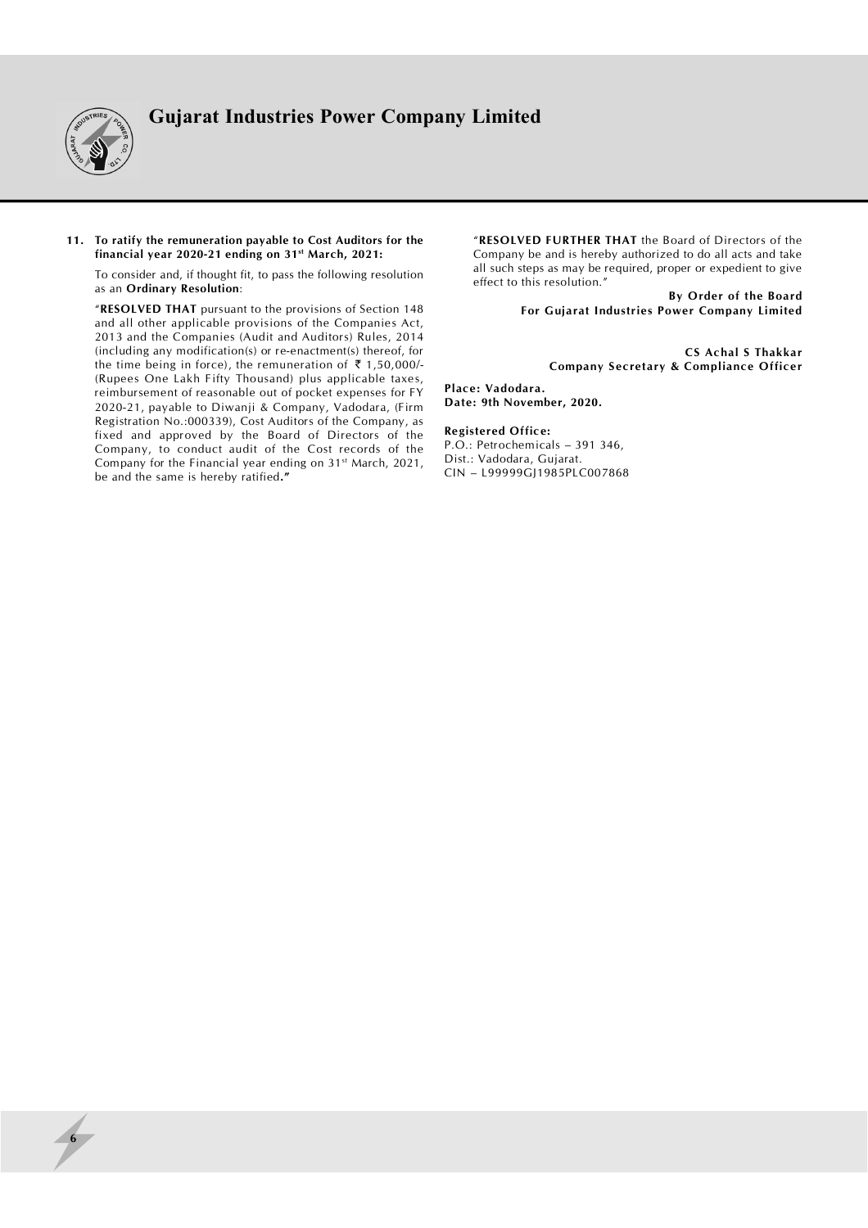

### **11. To ratify the remuneration payable to Cost Auditors for the financial year 2020-21 ending on 31st March, 2021:**

To consider and, if thought fit, to pass the following resolution as an **Ordinary Resolution**:

"**RESOLVED THAT** pursuant to the provisions of Section 148 and all other applicable provisions of the Companies Act, 2013 and the Companies (Audit and Auditors) Rules, 2014 (including any modification(s) or re-enactment(s) thereof, for the time being in force), the remuneration of  $\bar{\tau}$  1,50,000/-(Rupees One Lakh Fifty Thousand) plus applicable taxes, reimbursement of reasonable out of pocket expenses for FY 2020-21, payable to Diwanji & Company, Vadodara, (Firm Registration No.:000339), Cost Auditors of the Company, as fixed and approved by the Board of Directors of the Company, to conduct audit of the Cost records of the Company for the Financial year ending on 31<sup>st</sup> March, 2021, be and the same is hereby ratified**."**

"**RESOLVED FURTHER THAT** the Board of Directors of the Company be and is hereby authorized to do all acts and take all such steps as may be required, proper or expedient to give effect to this resolution."

**By Order of the Board For Gujarat Industries Power Company Limited**

> **CS Achal S Thakkar Company Secretary & Compliance Officer**

**Place: Vadodara. Date: 9th November, 2020.**

### **Registered Office:**

P.O.: Petrochemicals – 391 346, Dist.: Vadodara, Gujarat. CIN – L99999GJ1985PLC007868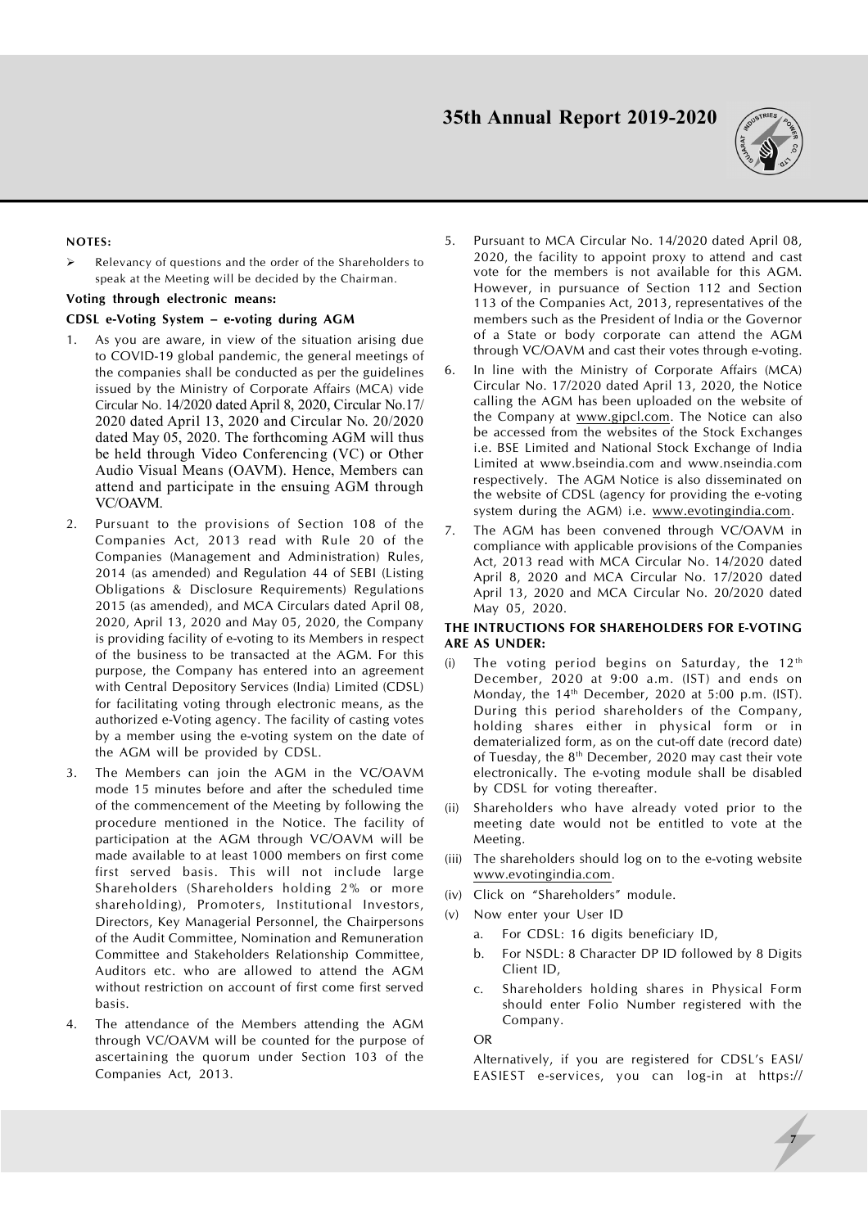

## **NOTES:**

 $\triangleright$  Relevancy of questions and the order of the Shareholders to speak at the Meeting will be decided by the Chairman.

## **Voting through electronic means:**

## **CDSL e-Voting System – e-voting during AGM**

- 1. As you are aware, in view of the situation arising due to COVID-19 global pandemic, the general meetings of the companies shall be conducted as per the guidelines issued by the Ministry of Corporate Affairs (MCA) vide Circular No. 14/2020 dated April 8, 2020, Circular No.17/ 2020 dated April 13, 2020 and Circular No. 20/2020 dated May 05, 2020. The forthcoming AGM will thus be held through Video Conferencing (VC) or Other Audio Visual Means (OAVM). Hence, Members can attend and participate in the ensuing AGM through VC/OAVM.
- 2. Pursuant to the provisions of Section 108 of the Companies Act, 2013 read with Rule 20 of the Companies (Management and Administration) Rules, 2014 (as amended) and Regulation 44 of SEBI (Listing Obligations & Disclosure Requirements) Regulations 2015 (as amended), and MCA Circulars dated April 08, 2020, April 13, 2020 and May 05, 2020, the Company is providing facility of e-voting to its Members in respect of the business to be transacted at the AGM. For this purpose, the Company has entered into an agreement with Central Depository Services (India) Limited (CDSL) for facilitating voting through electronic means, as the authorized e-Voting agency. The facility of casting votes by a member using the e-voting system on the date of the AGM will be provided by CDSL.
- 3. The Members can join the AGM in the VC/OAVM mode 15 minutes before and after the scheduled time of the commencement of the Meeting by following the procedure mentioned in the Notice. The facility of participation at the AGM through VC/OAVM will be made available to at least 1000 members on first come first served basis. This will not include large Shareholders (Shareholders holding 2% or more shareholding), Promoters, Institutional Investors, Directors, Key Managerial Personnel, the Chairpersons of the Audit Committee, Nomination and Remuneration Committee and Stakeholders Relationship Committee, Auditors etc. who are allowed to attend the AGM without restriction on account of first come first served basis.
- 4. The attendance of the Members attending the AGM through VC/OAVM will be counted for the purpose of ascertaining the quorum under Section 103 of the Companies Act, 2013.
- 5. Pursuant to MCA Circular No. 14/2020 dated April 08, 2020, the facility to appoint proxy to attend and cast vote for the members is not available for this AGM. However, in pursuance of Section 112 and Section 113 of the Companies Act, 2013, representatives of the members such as the President of India or the Governor of a State or body corporate can attend the AGM through VC/OAVM and cast their votes through e-voting.
- 6. In line with the Ministry of Corporate Affairs (MCA) Circular No. 17/2020 dated April 13, 2020, the Notice calling the AGM has been uploaded on the website of the Company at [www.gipcl.com.](http://www.gipcl.com.) The Notice can also be accessed from the websites of the Stock Exchanges i.e. BSE Limited and National Stock Exchange of India Limited at [www.bseindia.com](http://www.bseindia.com) and [www.nseindia.com](http://www.nseindia.com) respectively. The AGM Notice is also disseminated on the website of CDSL (agency for providing the e-voting system during the AGM) i.e. [www.evotingindia.com.](http://www.evotingindia.com.)
- 7. The AGM has been convened through VC/OAVM in compliance with applicable provisions of the Companies Act, 2013 read with MCA Circular No. 14/2020 dated April 8, 2020 and MCA Circular No. 17/2020 dated April 13, 2020 and MCA Circular No. 20/2020 dated May 05, 2020.

## **THE INTRUCTIONS FOR SHAREHOLDERS FOR E-VOTING ARE AS UNDER:**

- (i) The voting period begins on Saturday, the  $12<sup>th</sup>$ December, 2020 at 9:00 a.m. (IST) and ends on Monday, the  $14<sup>th</sup>$  December, 2020 at 5:00 p.m. (IST). During this period shareholders of the Company, holding shares either in physical form or in dematerialized form, as on the cut-off date (record date) of Tuesday, the 8<sup>th</sup> December, 2020 may cast their vote electronically. The e-voting module shall be disabled by CDSL for voting thereafter.
- (ii) Shareholders who have already voted prior to the meeting date would not be entitled to vote at the Meeting.
- (iii) The shareholders should log on to the e-voting website [www.evotingindia.com.](http://www.evotingindia.com.)
- (iv) Click on "Shareholders" module.
- (v) Now enter your User ID
	- a. For CDSL: 16 digits beneficiary ID,
	- b. For NSDL: 8 Character DP ID followed by 8 Digits Client ID,
	- c. Shareholders holding shares in Physical Form should enter Folio Number registered with the Company.

OR

Alternatively, if you are registered for CDSL's EASI/ EASIEST e-services, you can log-in at <https://>

**7**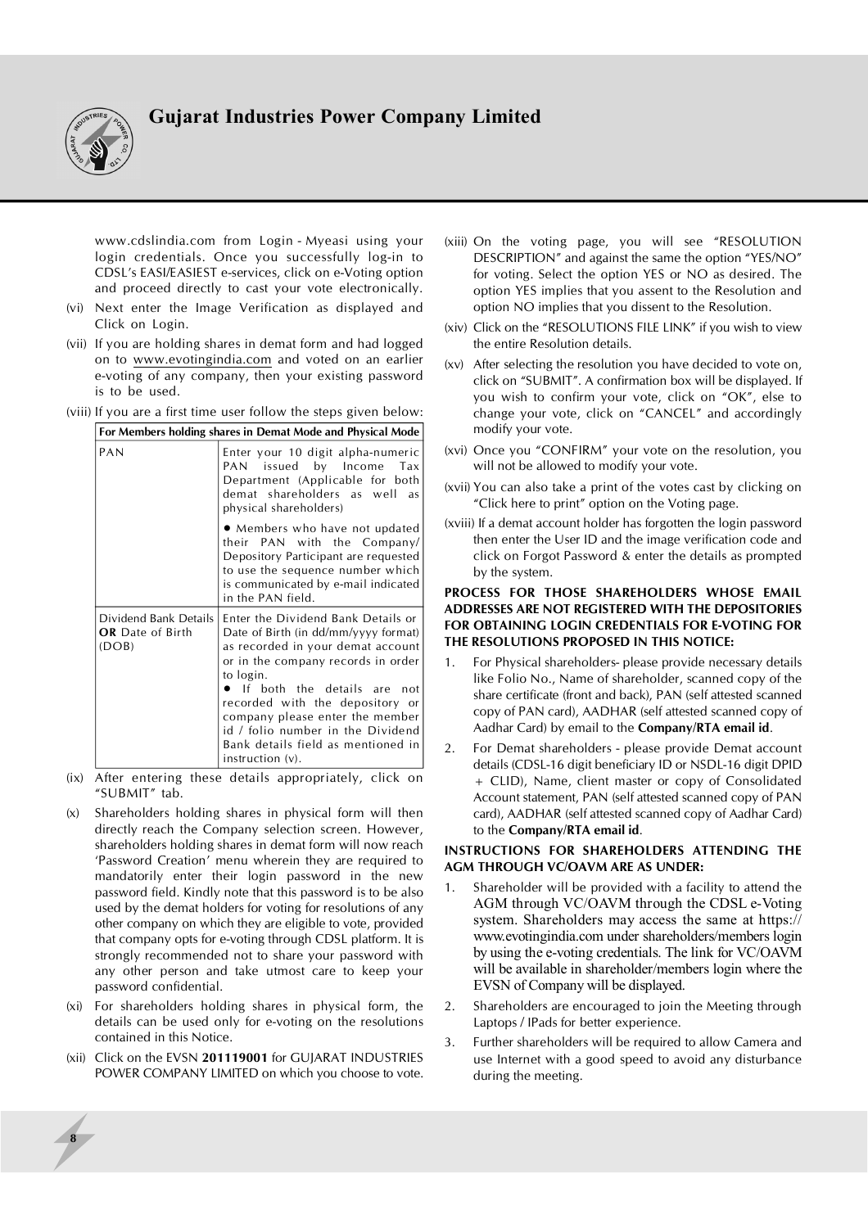

www.cdslindia.com from Login - Myeasi using your login credentials. Once you successfully log-in to CDSL's EASI/EASIEST e-services, click on e-Voting option and proceed directly to cast your vote electronically.

- (vi) Next enter the Image Verification as displayed and Click on Login.
- (vii) If you are holding shares in demat form and had logged on to [www.evotingindia.com](http://www.evotingindia.com) and voted on an earlier e-voting of any company, then your existing password is to be used.
- (viii) If you are a first time user follow the steps given below:

| For Members holding shares in Demat Mode and Physical Mode |                                                                                                                                                                                                                                                                                                                                                                                     |  |  |
|------------------------------------------------------------|-------------------------------------------------------------------------------------------------------------------------------------------------------------------------------------------------------------------------------------------------------------------------------------------------------------------------------------------------------------------------------------|--|--|
| PAN                                                        | Enter your 10 digit alpha-numeric<br>PAN issued by Income Tax<br>Department (Applicable for both<br>demat shareholders as well<br>as<br>physical shareholders)                                                                                                                                                                                                                      |  |  |
|                                                            | • Members who have not updated<br>their PAN with the Company/<br>Depository Participant are requested<br>to use the sequence number which<br>is communicated by e-mail indicated<br>in the PAN field.                                                                                                                                                                               |  |  |
| Dividend Bank Details<br><b>OR</b> Date of Birth<br>(DOB)  | Enter the Dividend Bank Details or<br>Date of Birth (in dd/mm/yyyy format)<br>as recorded in your demat account<br>or in the company records in order<br>to login.<br>$\bullet$ If both the details are<br>not<br>recorded with the depository or<br>company please enter the member<br>id / folio number in the Dividend<br>Bank details field as mentioned in<br>instruction (v). |  |  |

- (ix) After entering these details appropriately, click on "SUBMIT" tab.
- (x) Shareholders holding shares in physical form will then directly reach the Company selection screen. However, shareholders holding shares in demat form will now reach 'Password Creation' menu wherein they are required to mandatorily enter their login password in the new password field. Kindly note that this password is to be also used by the demat holders for voting for resolutions of any other company on which they are eligible to vote, provided that company opts for e-voting through CDSL platform. It is strongly recommended not to share your password with any other person and take utmost care to keep your password confidential.
- (xi) For shareholders holding shares in physical form, the details can be used only for e-voting on the resolutions contained in this Notice.
- (xii) Click on the EVSN **201119001** for GUJARAT INDUSTRIES POWER COMPANY LIMITED on which you choose to vote.

**8**

- (xiii) On the voting page, you will see "RESOLUTION DESCRIPTION" and against the same the option "YES/NO" for voting. Select the option YES or NO as desired. The option YES implies that you assent to the Resolution and option NO implies that you dissent to the Resolution.
- (xiv) Click on the "RESOLUTIONS FILE LINK" if you wish to view the entire Resolution details.
- (xv) After selecting the resolution you have decided to vote on, click on "SUBMIT". A confirmation box will be displayed. If you wish to confirm your vote, click on "OK", else to change your vote, click on "CANCEL" and accordingly modify your vote.
- (xvi) Once you "CONFIRM" your vote on the resolution, you will not be allowed to modify your vote.
- (xvii) You can also take a print of the votes cast by clicking on "Click here to print" option on the Voting page.
- (xviii) If a demat account holder has forgotten the login password then enter the User ID and the image verification code and click on Forgot Password & enter the details as prompted by the system.

## **PROCESS FOR THOSE SHAREHOLDERS WHOSE EMAIL ADDRESSES ARE NOT REGISTERED WITH THE DEPOSITORIES FOR OBTAINING LOGIN CREDENTIALS FOR E-VOTING FOR THE RESOLUTIONS PROPOSED IN THIS NOTICE:**

- 1. For Physical shareholders- please provide necessary details like Folio No., Name of shareholder, scanned copy of the share certificate (front and back), PAN (self attested scanned copy of PAN card), AADHAR (self attested scanned copy of Aadhar Card) by email to the **Company/RTA email id**.
- 2. For Demat shareholders please provide Demat account details (CDSL-16 digit beneficiary ID or NSDL-16 digit DPID + CLID), Name, client master or copy of Consolidated Account statement, PAN (self attested scanned copy of PAN card), AADHAR (self attested scanned copy of Aadhar Card) to the **Company/RTA email id**.

## **INSTRUCTIONS FOR SHAREHOLDERS ATTENDING THE AGM THROUGH VC/OAVM ARE AS UNDER:**

- 1. Shareholder will be provided with a facility to attend the AGM through VC/OAVM through the CDSL e-Voting system. Shareholders may access the same at https:// [www.evotingindia.com](http://www.evotingindia.com) under shareholders/members login by using the e-voting credentials. The link for VC/OAVM will be available in shareholder/members login where the EVSN of Company will be displayed.
- 2. Shareholders are encouraged to join the Meeting through Laptops / IPads for better experience.
- 3. Further shareholders will be required to allow Camera and use Internet with a good speed to avoid any disturbance during the meeting.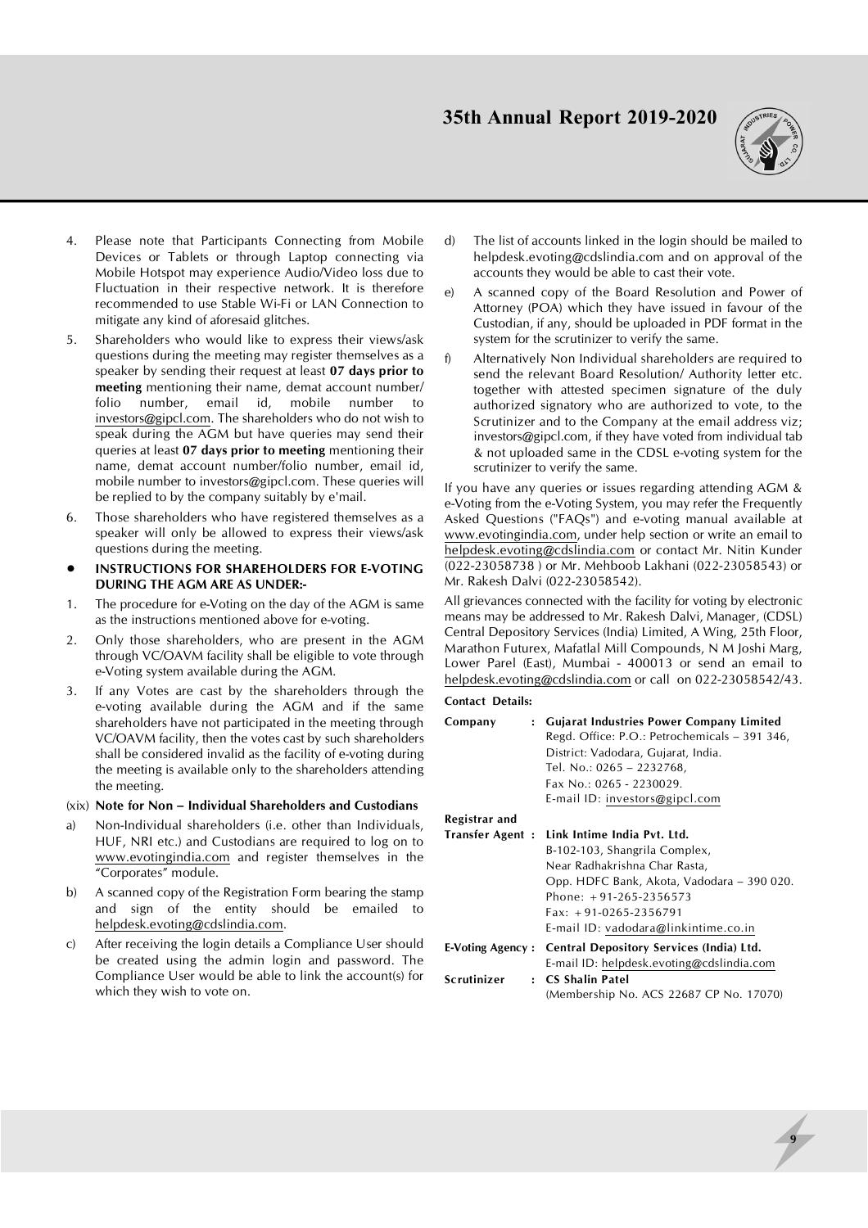

- 4. Please note that Participants Connecting from Mobile Devices or Tablets or through Laptop connecting via Mobile Hotspot may experience Audio/Video loss due to Fluctuation in their respective network. It is therefore recommended to use Stable Wi-Fi or LAN Connection to mitigate any kind of aforesaid glitches.
- 5. Shareholders who would like to express their views/ask questions during the meeting may register themselves as a speaker by sending their request at least **07 days prior to meeting** mentioning their name, demat account number/ folio number, email id, mobile number to [investors@gipcl.com.](mailto:investors@gipcl.com.) The shareholders who do not wish to speak during the AGM but have queries may send their queries at least **07 days prior to meeting** mentioning their name, demat account number/folio number, email id, mobile number to [investors@gipcl.com.](mailto:investors@gipcl.com.) These queries will be replied to by the company suitably by e'mail.
- 6. Those shareholders who have registered themselves as a speaker will only be allowed to express their views/ask questions during the meeting.
- **• INSTRUCTIONS FOR SHAREHOLDERS FOR E-VOTING DURING THE AGM ARE AS UNDER:-**
- 1. The procedure for e-Voting on the day of the AGM is same as the instructions mentioned above for e-voting.
- 2. Only those shareholders, who are present in the AGM through VC/OAVM facility shall be eligible to vote through e-Voting system available during the AGM.
- 3. If any Votes are cast by the shareholders through the e-voting available during the AGM and if the same shareholders have not participated in the meeting through VC/OAVM facility, then the votes cast by such shareholders shall be considered invalid as the facility of e-voting during the meeting is available only to the shareholders attending the meeting.

## (xix) **Note for Non – Individual Shareholders and Custodians**

- a) Non-Individual shareholders (i.e. other than Individuals, HUF, NRI etc.) and Custodians are required to log on to [www.evotingindia.com](http://www.evotingindia.com) and register themselves in the "Corporates" module.
- b) A scanned copy of the Registration Form bearing the stamp and sign of the entity should be emailed to [helpdesk.evoting@cdslindia.com.](mailto:helpdesk.evoting@cdslindia.com.)
- c) After receiving the login details a Compliance User should be created using the admin login and password. The Compliance User would be able to link the account(s) for which they wish to vote on.
- d) The list of accounts linked in the login should be mailed to [helpdesk.evoting@cdslindia.com](mailto:helpdesk.evoting@cdslindia.com) and on approval of the accounts they would be able to cast their vote.
- e) A scanned copy of the Board Resolution and Power of Attorney (POA) which they have issued in favour of the Custodian, if any, should be uploaded in PDF format in the system for the scrutinizer to verify the same.
- f) Alternatively Non Individual shareholders are required to send the relevant Board Resolution/ Authority letter etc. together with attested specimen signature of the duly authorized signatory who are authorized to vote, to the Scrutinizer and to the Company at the email address viz; [investors@gipcl.com,](mailto:investors@gipcl.com,) if they have voted from individual tab & not uploaded same in the CDSL e-voting system for the scrutinizer to verify the same.

If you have any queries or issues regarding attending AGM & e-Voting from the e-Voting System, you may refer the Frequently Asked Questions ("FAQs") and e-voting manual available at [www.evotingindia.com,](http://www.evotingindia.com,) under help section or write an email to [helpdesk.evoting@cdslindia.com](mailto:helpdesk.evoting@cdslindia.com) or contact Mr. Nitin Kunder (022-23058738 ) or Mr. Mehboob Lakhani (022-23058543) or Mr. Rakesh Dalvi (022-23058542).

All grievances connected with the facility for voting by electronic means may be addressed to Mr. Rakesh Dalvi, Manager, (CDSL) Central Depository Services (India) Limited, A Wing, 25th Floor, Marathon Futurex, Mafatlal Mill Compounds, N M Joshi Marg, Lower Parel (East), Mumbai - 400013 or send an email to [helpdesk.evoting@cdslindia.com](mailto:helpdesk.evoting@cdslindia.com) or call on 022-23058542/43.

## **Contact Details: Company : Gujarat Industries Power Company Limited** Regd. Office: P.O.: Petrochemicals – 391 346, District: Vadodara, Gujarat, India. Tel. No.: 0265 – 2232768, Fax No.: 0265 - 2230029. E-mail ID: [investors@gipcl.com](mailto:investors@gipcl.com) **Registrar and Transfer Agent : Link Intime India Pvt. Ltd.** B-102-103, Shangrila Complex, Near Radhakrishna Char Rasta, Opp. HDFC Bank, Akota, Vadodara – 390 020. Phone: +91-265-2356573 Fax: +91-0265-2356791 E-mail ID: [vadodara@linkintime.co.in](mailto:vadodara@linkintime.co.in) **E-Voting Agency : Central Depository Services (India) Ltd.** E-mail ID: [helpdesk.evoting@cdslindia.com](mailto:helpdesk.evoting@cdslindia.com) **Scrutinizer : CS Shalin Patel** (Membership No. ACS 22687 CP No. 17070)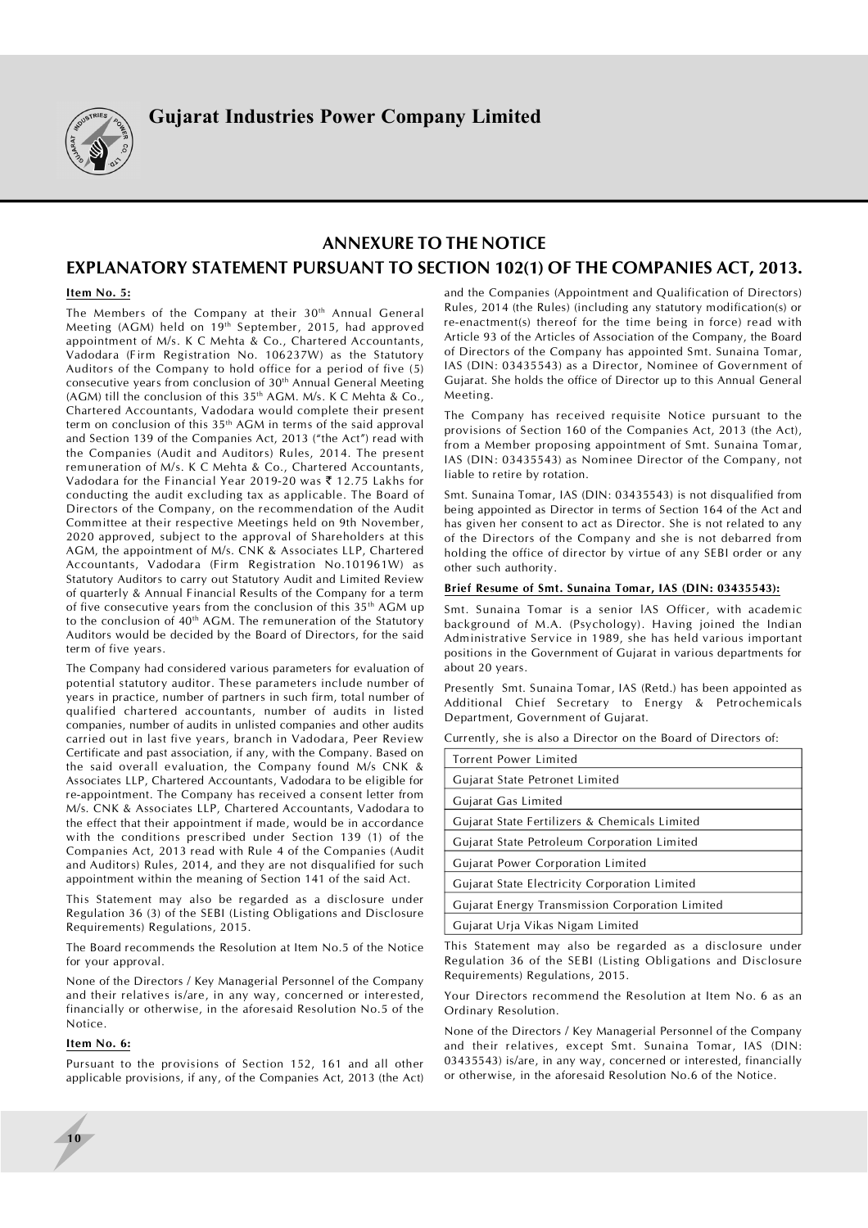

# **ANNEXURE TO THE NOTICE**

# **EXPLANATORY STATEMENT PURSUANT TO SECTION 102(1) OF THE COMPANIES ACT, 2013.**

### **Item No. 5:**

The Members of the Company at their 30<sup>th</sup> Annual General Meeting (AGM) held on 19<sup>th</sup> September, 2015, had approved appointment of M/s. K C Mehta & Co., Chartered Accountants, Vadodara (Firm Registration No. 106237W) as the Statutory Auditors of the Company to hold office for a period of five (5) consecutive years from conclusion of 30<sup>th</sup> Annual General Meeting (AGM) till the conclusion of this 35th AGM. M/s. K C Mehta & Co., Chartered Accountants, Vadodara would complete their present term on conclusion of this 35th AGM in terms of the said approval and Section 139 of the Companies Act, 2013 ("the Act") read with the Companies (Audit and Auditors) Rules, 2014. The present remuneration of M/s. K C Mehta & Co., Chartered Accountants, Vadodara for the Financial Year 2019-20 was  $\bar{\tau}$  12.75 Lakhs for conducting the audit excluding tax as applicable. The Board of Directors of the Company, on the recommendation of the Audit Committee at their respective Meetings held on 9th November, 2020 approved, subject to the approval of Shareholders at this AGM, the appointment of M/s. CNK & Associates LLP, Chartered Accountants, Vadodara (Firm Registration No.101961W) as Statutory Auditors to carry out Statutory Audit and Limited Review of quarterly & Annual Financial Results of the Company for a term of five consecutive years from the conclusion of this  $35<sup>th</sup>$  AGM up to the conclusion of 40<sup>th</sup> AGM. The remuneration of the Statutory Auditors would be decided by the Board of Directors, for the said term of five years.

The Company had considered various parameters for evaluation of potential statutory auditor. These parameters include number of years in practice, number of partners in such firm, total number of qualified chartered accountants, number of audits in listed companies, number of audits in unlisted companies and other audits carried out in last five years, branch in Vadodara, Peer Review Certificate and past association, if any, with the Company. Based on the said overall evaluation, the Company found M/s CNK & Associates LLP, Chartered Accountants, Vadodara to be eligible for re-appointment. The Company has received a consent letter from M/s. CNK & Associates LLP, Chartered Accountants, Vadodara to the effect that their appointment if made, would be in accordance with the conditions prescribed under Section 139 (1) of the Companies Act, 2013 read with Rule 4 of the Companies (Audit and Auditors) Rules, 2014, and they are not disqualified for such appointment within the meaning of Section 141 of the said Act.

This Statement may also be regarded as a disclosure under Regulation 36 (3) of the SEBI (Listing Obligations and Disclosure Requirements) Regulations, 2015.

The Board recommends the Resolution at Item No.5 of the Notice for your approval.

None of the Directors / Key Managerial Personnel of the Company and their relatives is/are, in any way, concerned or interested, financially or otherwise, in the aforesaid Resolution No.5 of the Notice.

### **Item No. 6:**

**10**

Pursuant to the provisions of Section 152, 161 and all other applicable provisions, if any, of the Companies Act, 2013 (the Act) and the Companies (Appointment and Qualification of Directors) Rules, 2014 (the Rules) (including any statutory modification(s) or re-enactment(s) thereof for the time being in force) read with Article 93 of the Articles of Association of the Company, the Board of Directors of the Company has appointed Smt. Sunaina Tomar, IAS (DIN: 03435543) as a Director, Nominee of Government of Gujarat. She holds the office of Director up to this Annual General Meeting.

The Company has received requisite Notice pursuant to the provisions of Section 160 of the Companies Act, 2013 (the Act), from a Member proposing appointment of Smt. Sunaina Tomar, IAS (DIN: 03435543) as Nominee Director of the Company, not liable to retire by rotation.

Smt. Sunaina Tomar, IAS (DIN: 03435543) is not disqualified from being appointed as Director in terms of Section 164 of the Act and has given her consent to act as Director. She is not related to any of the Directors of the Company and she is not debarred from holding the office of director by virtue of any SEBI order or any other such authority.

### **Brief Resume of Smt. Sunaina Tomar, IAS (DIN: 03435543):**

Smt. Sunaina Tomar is a senior lAS Officer, with academic background of M.A. (Psychology). Having joined the Indian Administrative Service in 1989, she has held various important positions in the Government of Gujarat in various departments for about 20 years.

Presently Smt. Sunaina Tomar, IAS (Retd.) has been appointed as Additional Chief Secretary to Energy & Petrochemicals Department, Government of Gujarat.

Currently, she is also a Director on the Board of Directors of:

| Torrent Power Limited                                         |  |  |
|---------------------------------------------------------------|--|--|
| Gujarat State Petronet Limited                                |  |  |
| Gujarat Gas Limited                                           |  |  |
| Gujarat State Fertilizers & Chemicals Limited                 |  |  |
| Gujarat State Petroleum Corporation Limited                   |  |  |
| Gujarat Power Corporation Limited                             |  |  |
| Gujarat State Electricity Corporation Limited                 |  |  |
| Gujarat Energy Transmission Corporation Limited               |  |  |
| Gujarat Urja Vikas Nigam Limited                              |  |  |
| 定したい でんしんこうしょう ハンドラン しょうしょうしょう こうこうけいけい アンドラン けんこけい アール・プログラム |  |  |

This Statement may also be regarded as a disclosure under Regulation 36 of the SEBI (Listing Obligations and Disclosure Requirements) Regulations, 2015.

Your Directors recommend the Resolution at Item No. 6 as an Ordinary Resolution.

None of the Directors / Key Managerial Personnel of the Company and their relatives, except Smt. Sunaina Tomar, IAS (DIN: 03435543) is/are, in any way, concerned or interested, financially or otherwise, in the aforesaid Resolution No.6 of the Notice.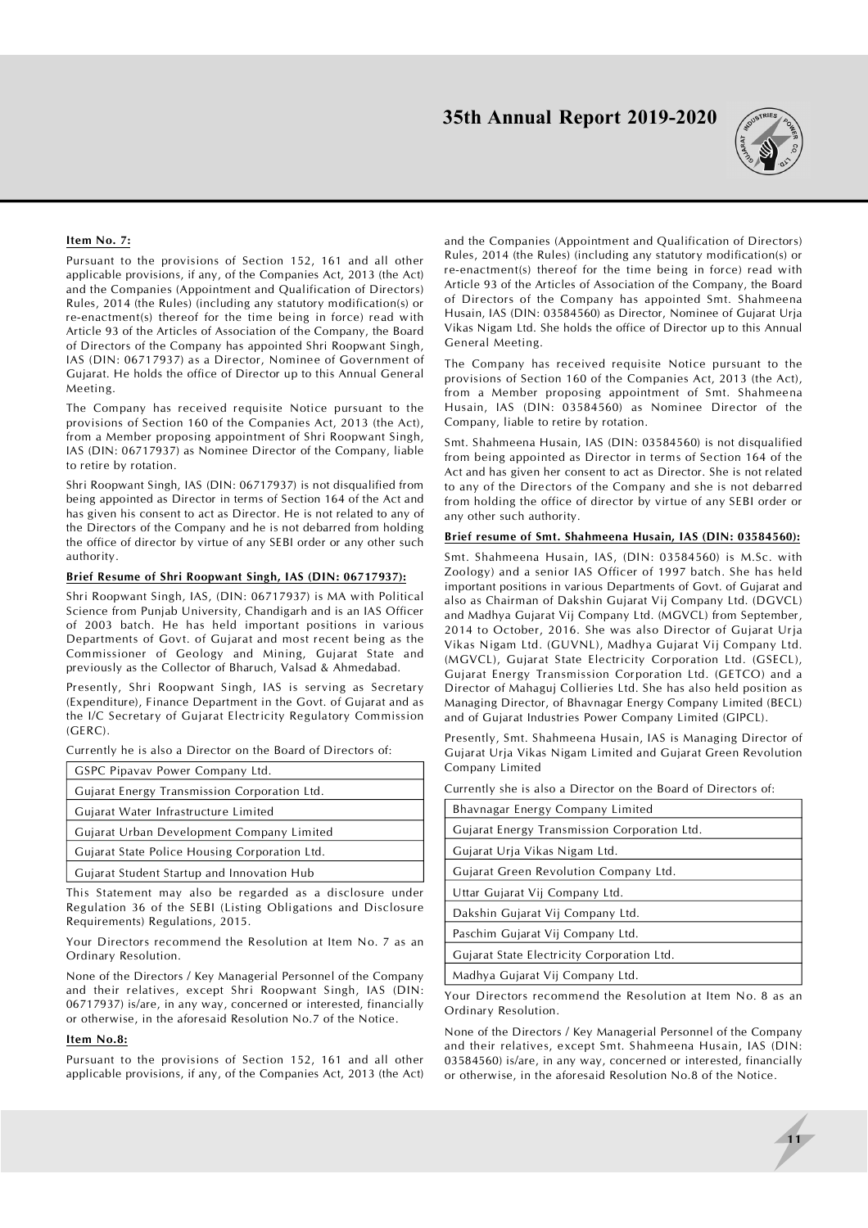

### **Item No. 7:**

Pursuant to the provisions of Section 152, 161 and all other applicable provisions, if any, of the Companies Act, 2013 (the Act) and the Companies (Appointment and Qualification of Directors) Rules, 2014 (the Rules) (including any statutory modification(s) or re-enactment(s) thereof for the time being in force) read with Article 93 of the Articles of Association of the Company, the Board of Directors of the Company has appointed Shri Roopwant Singh, IAS (DIN: 06717937) as a Director, Nominee of Government of Gujarat. He holds the office of Director up to this Annual General Meeting.

The Company has received requisite Notice pursuant to the provisions of Section 160 of the Companies Act, 2013 (the Act), from a Member proposing appointment of Shri Roopwant Singh, IAS (DIN: 06717937) as Nominee Director of the Company, liable to retire by rotation.

Shri Roopwant Singh, IAS (DIN: 06717937) is not disqualified from being appointed as Director in terms of Section 164 of the Act and has given his consent to act as Director. He is not related to any of the Directors of the Company and he is not debarred from holding the office of director by virtue of any SEBI order or any other such authority.

### **Brief Resume of Shri Roopwant Singh, IAS (DIN: 06717937):**

Shri Roopwant Singh, IAS, (DIN: 06717937) is MA with Political Science from Punjab University, Chandigarh and is an IAS Officer of 2003 batch. He has held important positions in various Departments of Govt. of Gujarat and most recent being as the Commissioner of Geology and Mining, Gujarat State and previously as the Collector of Bharuch, Valsad & Ahmedabad.

Presently, Shri Roopwant Singh, IAS is serving as Secretary (Expenditure), Finance Department in the Govt. of Gujarat and as the I/C Secretary of Gujarat Electricity Regulatory Commission (GERC).

Currently he is also a Director on the Board of Directors of:

| GSPC Pipavav Power Company Ltd.               |  |  |
|-----------------------------------------------|--|--|
| Gujarat Energy Transmission Corporation Ltd.  |  |  |
| Gujarat Water Infrastructure Limited          |  |  |
| Gujarat Urban Development Company Limited     |  |  |
| Gujarat State Police Housing Corporation Ltd. |  |  |
| Gujarat Student Startup and Innovation Hub    |  |  |
|                                               |  |  |

This Statement may also be regarded as a disclosure under Regulation 36 of the SEBI (Listing Obligations and Disclosure Requirements) Regulations, 2015.

Your Directors recommend the Resolution at Item No. 7 as an Ordinary Resolution.

None of the Directors / Key Managerial Personnel of the Company and their relatives, except Shri Roopwant Singh, IAS (DIN: 06717937) is/are, in any way, concerned or interested, financially or otherwise, in the aforesaid Resolution No.7 of the Notice.

#### **Item No.8:**

Pursuant to the provisions of Section 152, 161 and all other applicable provisions, if any, of the Companies Act, 2013 (the Act) and the Companies (Appointment and Qualification of Directors) Rules, 2014 (the Rules) (including any statutory modification(s) or re-enactment(s) thereof for the time being in force) read with Article 93 of the Articles of Association of the Company, the Board of Directors of the Company has appointed Smt. Shahmeena Husain, IAS (DIN: 03584560) as Director, Nominee of Gujarat Urja Vikas Nigam Ltd. She holds the office of Director up to this Annual General Meeting.

The Company has received requisite Notice pursuant to the provisions of Section 160 of the Companies Act, 2013 (the Act), from a Member proposing appointment of Smt. Shahmeena Husain, IAS (DIN: 03584560) as Nominee Director of the Company, liable to retire by rotation.

Smt. Shahmeena Husain, IAS (DIN: 03584560) is not disqualified from being appointed as Director in terms of Section 164 of the Act and has given her consent to act as Director. She is not related to any of the Directors of the Company and she is not debarred from holding the office of director by virtue of any SEBI order or any other such authority.

#### **Brief resume of Smt. Shahmeena Husain, IAS (DIN: 03584560):**

Smt. Shahmeena Husain, IAS, (DIN: 03584560) is M.Sc. with Zoology) and a senior IAS Officer of 1997 batch. She has held important positions in various Departments of Govt. of Gujarat and also as Chairman of Dakshin Gujarat Vij Company Ltd. (DGVCL) and Madhya Gujarat Vij Company Ltd. (MGVCL) from September, 2014 to October, 2016. She was also Director of Gujarat Urja Vikas Nigam Ltd. (GUVNL), Madhya Gujarat Vij Company Ltd. (MGVCL), Gujarat State Electricity Corporation Ltd. (GSECL), Gujarat Energy Transmission Corporation Ltd. (GETCO) and a Director of Mahaguj Collieries Ltd. She has also held position as Managing Director, of Bhavnagar Energy Company Limited (BECL) and of Gujarat Industries Power Company Limited (GIPCL).

Presently, Smt. Shahmeena Husain, IAS is Managing Director of Gujarat Urja Vikas Nigam Limited and Gujarat Green Revolution Company Limited

Currently she is also a Director on the Board of Directors of:

| Bhavnagar Energy Company Limited                                                                                                            |  |  |  |  |
|---------------------------------------------------------------------------------------------------------------------------------------------|--|--|--|--|
| Gujarat Energy Transmission Corporation Ltd.                                                                                                |  |  |  |  |
| Gujarat Urja Vikas Nigam Ltd.                                                                                                               |  |  |  |  |
| Gujarat Green Revolution Company Ltd.                                                                                                       |  |  |  |  |
| Uttar Gujarat Vij Company Ltd.                                                                                                              |  |  |  |  |
| Dakshin Gujarat Vij Company Ltd.                                                                                                            |  |  |  |  |
| Paschim Gujarat Vij Company Ltd.                                                                                                            |  |  |  |  |
| Gujarat State Electricity Corporation Ltd.                                                                                                  |  |  |  |  |
| Madhya Gujarat Vij Company Ltd.                                                                                                             |  |  |  |  |
| the contract of the contract of the contract of the contract of the contract of the contract of the contract of<br>$\cdots$ $\sim$ $\cdots$ |  |  |  |  |

Your Directors recommend the Resolution at Item No. 8 as an Ordinary Resolution.

None of the Directors / Key Managerial Personnel of the Company and their relatives, except Smt. Shahmeena Husain, IAS (DIN: 03584560) is/are, in any way, concerned or interested, financially or otherwise, in the aforesaid Resolution No.8 of the Notice.

**11**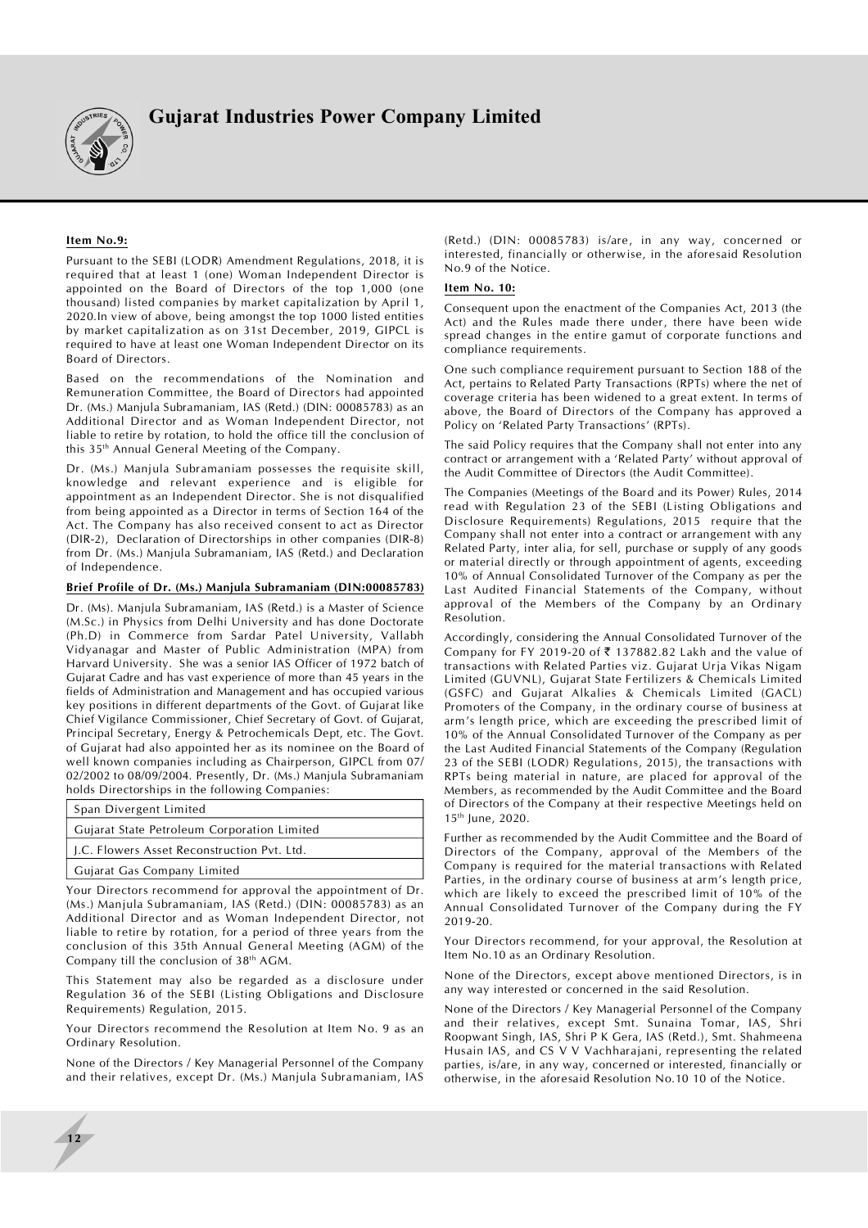

### **Item No.9:**

Pursuant to the SEBI (LODR) Amendment Regulations, 2018, it is required that at least 1 (one) Woman Independent Director is appointed on the Board of Directors of the top 1,000 (one thousand) listed companies by market capitalization by April 1, 2020.In view of above, being amongst the top 1000 listed entities by market capitalization as on 31st December, 2019, GIPCL is required to have at least one Woman Independent Director on its Board of Directors.

Based on the recommendations of the Nomination and Remuneration Committee, the Board of Directors had appointed Dr. (Ms.) Manjula Subramaniam, IAS (Retd.) (DIN: 00085783) as an Additional Director and as Woman Independent Director, not liable to retire by rotation, to hold the office till the conclusion of this 35th Annual General Meeting of the Company.

Dr. (Ms.) Manjula Subramaniam possesses the requisite skill, knowledge and relevant experience and is eligible for appointment as an Independent Director. She is not disqualified from being appointed as a Director in terms of Section 164 of the Act. The Company has also received consent to act as Director (DIR-2), Declaration of Directorships in other companies (DIR-8) from Dr. (Ms.) Manjula Subramaniam, IAS (Retd.) and Declaration of Independence.

#### **Brief Profile of Dr. (Ms.) Manjula Subramaniam (DIN:00085783)**

Dr. (Ms). Manjula Subramaniam, IAS (Retd.) is a Master of Science (M.Sc.) in Physics from Delhi University and has done Doctorate (Ph.D) in Commerce from Sardar Patel University, Vallabh Vidyanagar and Master of Public Administration (MPA) from Harvard University. She was a senior IAS Officer of 1972 batch of Gujarat Cadre and has vast experience of more than 45 years in the fields of Administration and Management and has occupied various key positions in different departments of the Govt. of Gujarat like Chief Vigilance Commissioner, Chief Secretary of Govt. of Gujarat, Principal Secretary, Energy & Petrochemicals Dept, etc. The Govt. of Gujarat had also appointed her as its nominee on the Board of well known companies including as Chairperson, GIPCL from 07/ 02/2002 to 08/09/2004. Presently, Dr. (Ms.) Manjula Subramaniam holds Directorships in the following Companies:

| Span Divergent Limited                      |                                             |  |
|---------------------------------------------|---------------------------------------------|--|
|                                             | Gujarat State Petroleum Corporation Limited |  |
| J.C. Flowers Asset Reconstruction Pvt. Ltd. |                                             |  |
|                                             | Gujarat Gas Company Limited                 |  |

Your Directors recommend for approval the appointment of Dr. (Ms.) Manjula Subramaniam, IAS (Retd.) (DIN: 00085783) as an Additional Director and as Woman Independent Director, not liable to retire by rotation, for a period of three years from the conclusion of this 35th Annual General Meeting (AGM) of the Company till the conclusion of 38th AGM.

This Statement may also be regarded as a disclosure under Regulation 36 of the SEBI (Listing Obligations and Disclosure Requirements) Regulation, 2015.

Your Directors recommend the Resolution at Item No. 9 as an Ordinary Resolution.

None of the Directors / Key Managerial Personnel of the Company and their relatives, except Dr. (Ms.) Manjula Subramaniam, IAS

**12**

(Retd.) (DIN: 00085783) is/are, in any way, concerned or interested, financially or otherwise, in the aforesaid Resolution No.9 of the Notice.

### **Item No. 10:**

Consequent upon the enactment of the Companies Act, 2013 (the Act) and the Rules made there under, there have been wide spread changes in the entire gamut of corporate functions and compliance requirements.

One such compliance requirement pursuant to Section 188 of the Act, pertains to Related Party Transactions (RPTs) where the net of coverage criteria has been widened to a great extent. In terms of above, the Board of Directors of the Company has approved a Policy on 'Related Party Transactions' (RPTs).

The said Policy requires that the Company shall not enter into any contract or arrangement with a 'Related Party' without approval of the Audit Committee of Directors (the Audit Committee).

The Companies (Meetings of the Board and its Power) Rules, 2014 read with Regulation 23 of the SEBI (Listing Obligations and Disclosure Requirements) Regulations, 2015 require that the Company shall not enter into a contract or arrangement with any Related Party, inter alia, for sell, purchase or supply of any goods or material directly or through appointment of agents, exceeding 10% of Annual Consolidated Turnover of the Company as per the Last Audited Financial Statements of the Company, without approval of the Members of the Company by an Ordinary Resolution.

Accordingly, considering the Annual Consolidated Turnover of the Company for FY 2019-20 of  $\bar{\tau}$  137882.82 Lakh and the value of transactions with Related Parties viz. Gujarat Urja Vikas Nigam Limited (GUVNL), Gujarat State Fertilizers & Chemicals Limited (GSFC) and Gujarat Alkalies & Chemicals Limited (GACL) Promoters of the Company, in the ordinary course of business at arm's length price, which are exceeding the prescribed limit of 10% of the Annual Consolidated Turnover of the Company as per the Last Audited Financial Statements of the Company (Regulation 23 of the SEBI (LODR) Regulations, 2015), the transactions with RPTs being material in nature, are placed for approval of the Members, as recommended by the Audit Committee and the Board of Directors of the Company at their respective Meetings held on 15th June, 2020.

Further as recommended by the Audit Committee and the Board of Directors of the Company, approval of the Members of the Company is required for the material transactions with Related Parties, in the ordinary course of business at arm's length price, which are likely to exceed the prescribed limit of 10% of the Annual Consolidated Turnover of the Company during the FY 2019-20.

Your Directors recommend, for your approval, the Resolution at Item No.10 as an Ordinary Resolution.

None of the Directors, except above mentioned Directors, is in any way interested or concerned in the said Resolution.

None of the Directors / Key Managerial Personnel of the Company and their relatives, except Smt. Sunaina Tomar, IAS, Shri Roopwant Singh, IAS, Shri P K Gera, IAS (Retd.), Smt. Shahmeena Husain IAS, and CS V V Vachharajani, representing the related parties, is/are, in any way, concerned or interested, financially or otherwise, in the aforesaid Resolution No.10 10 of the Notice.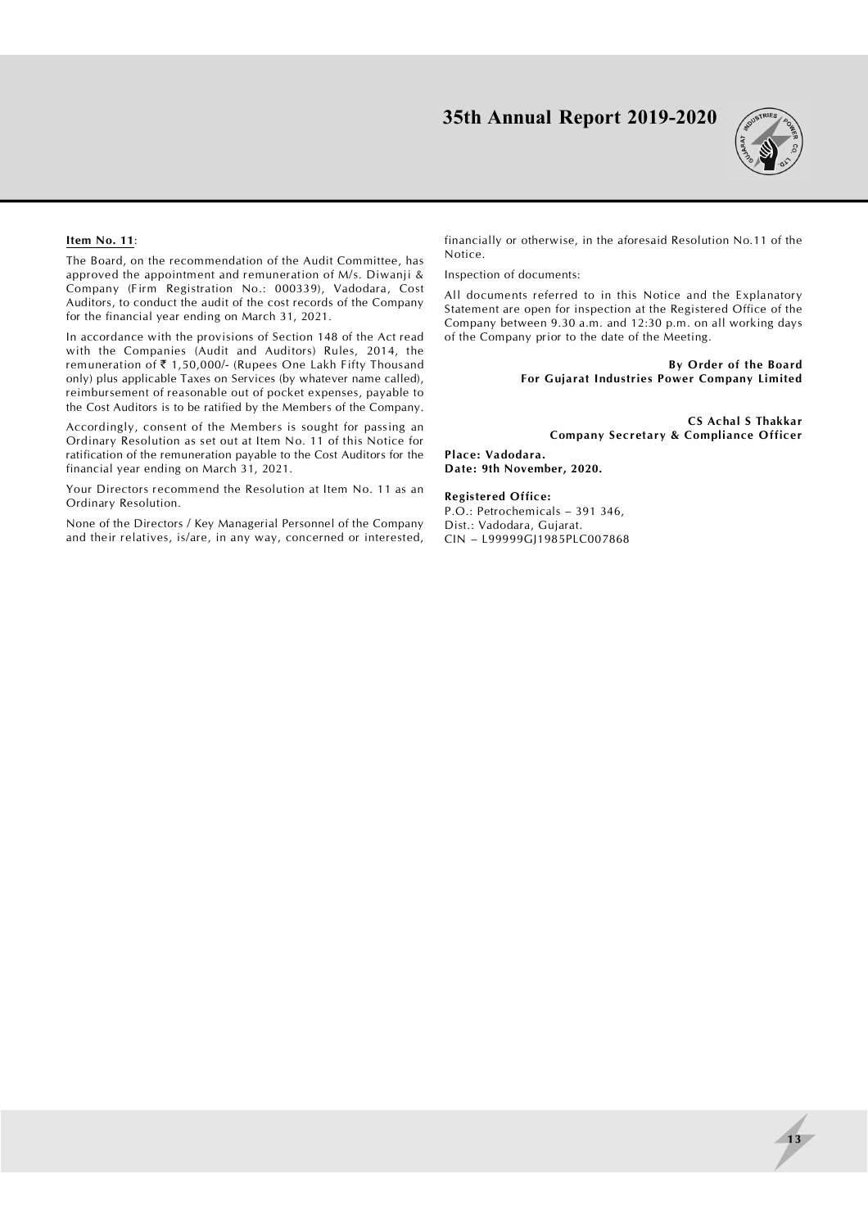

### **Item No. 11**:

The Board, on the recommendation of the Audit Committee, has approved the appointment and remuneration of M/s. Diwanji & Company (Firm Registration No.: 000339), Vadodara, Cost Auditors, to conduct the audit of the cost records of the Company for the financial year ending on March 31, 2021.

In accordance with the provisions of Section 148 of the Act read with the Companies (Audit and Auditors) Rules, 2014, the remuneration of  $\bar{\tau}$  1,50,000/- (Rupees One Lakh Fifty Thousand only) plus applicable Taxes on Services (by whatever name called), reimbursement of reasonable out of pocket expenses, payable to the Cost Auditors is to be ratified by the Members of the Company.

Accordingly, consent of the Members is sought for passing an Ordinary Resolution as set out at Item No. 11 of this Notice for ratification of the remuneration payable to the Cost Auditors for the financial year ending on March 31, 2021.

Your Directors recommend the Resolution at Item No. 11 as an Ordinary Resolution.

None of the Directors / Key Managerial Personnel of the Company and their relatives, is/are, in any way, concerned or interested, financially or otherwise, in the aforesaid Resolution No.11 of the Notice.

Inspection of documents:

All documents referred to in this Notice and the Explanatory Statement are open for inspection at the Registered Office of the Company between 9.30 a.m. and 12:30 p.m. on all working days of the Company prior to the date of the Meeting.

> **By Order of the Board For Gujarat Industries Power Company Limited**

 **CS Achal S Thakkar Company Secretary & Compliance Officer**

**Place: Vadodara. Date: 9th November, 2020.**

**Registered Office:** P.O.: Petrochemicals – 391 346, Dist.: Vadodara, Gujarat. CIN – L99999GJ1985PLC007868